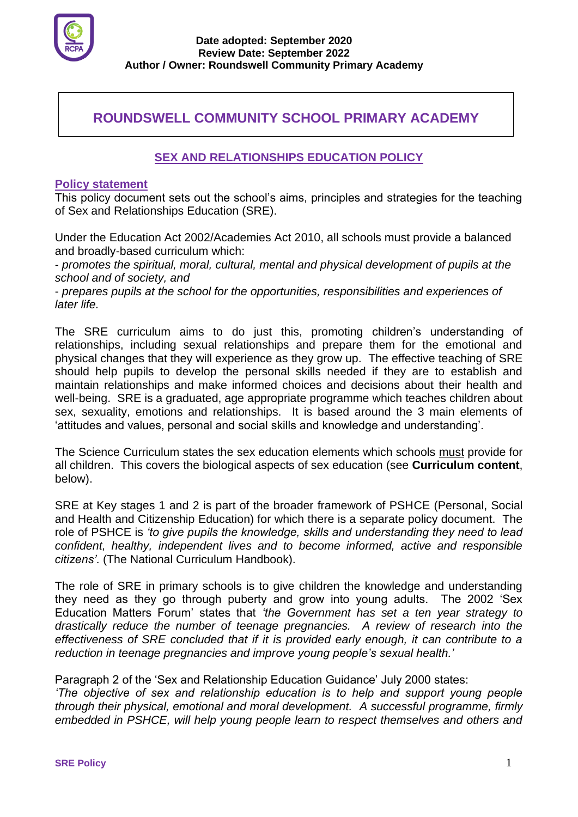

# **ROUNDSWELL COMMUNITY SCHOOL PRIMARY ACADEMY**

**.**

## **SEX AND RELATIONSHIPS EDUCATION POLICY**

## **Policy statement**

This policy document sets out the school's aims, principles and strategies for the teaching of Sex and Relationships Education (SRE).

Under the Education Act 2002/Academies Act 2010, all schools must provide a balanced and broadly-based curriculum which:

- *promotes the spiritual, moral, cultural, mental and physical development of pupils at the school and of society, and* 

- *prepares pupils at the school for the opportunities, responsibilities and experiences of later life.* 

The SRE curriculum aims to do just this, promoting children's understanding of relationships, including sexual relationships and prepare them for the emotional and physical changes that they will experience as they grow up. The effective teaching of SRE should help pupils to develop the personal skills needed if they are to establish and maintain relationships and make informed choices and decisions about their health and well-being. SRE is a graduated, age appropriate programme which teaches children about sex, sexuality, emotions and relationships. It is based around the 3 main elements of 'attitudes and values, personal and social skills and knowledge and understanding'.

The Science Curriculum states the sex education elements which schools must provide for all children. This covers the biological aspects of sex education (see **Curriculum content**, below).

SRE at Key stages 1 and 2 is part of the broader framework of PSHCE (Personal, Social and Health and Citizenship Education) for which there is a separate policy document. The role of PSHCE is *'to give pupils the knowledge, skills and understanding they need to lead confident, healthy, independent lives and to become informed, active and responsible citizens'.* (The National Curriculum Handbook).

The role of SRE in primary schools is to give children the knowledge and understanding they need as they go through puberty and grow into young adults. The 2002 'Sex Education Matters Forum' states that *'the Government has set a ten year strategy to drastically reduce the number of teenage pregnancies. A review of research into the effectiveness of SRE concluded that if it is provided early enough, it can contribute to a reduction in teenage pregnancies and improve young people's sexual health.'*

Paragraph 2 of the 'Sex and Relationship Education Guidance' July 2000 states:

*'The objective of sex and relationship education is to help and support young people through their physical, emotional and moral development. A successful programme, firmly embedded in PSHCE, will help young people learn to respect themselves and others and*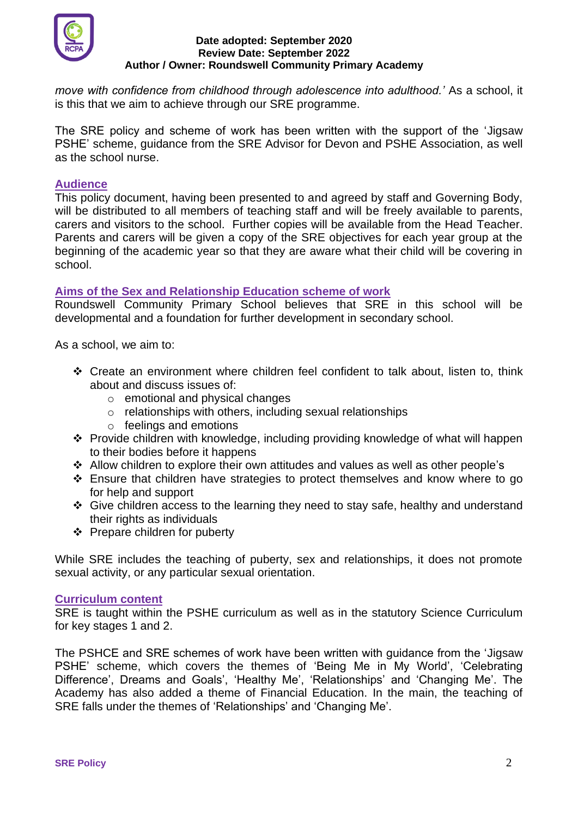

*move with confidence from childhood through adolescence into adulthood.'* As a school, it is this that we aim to achieve through our SRE programme.

The SRE policy and scheme of work has been written with the support of the 'Jigsaw PSHE' scheme, guidance from the SRE Advisor for Devon and PSHE Association, as well as the school nurse.

## **Audience**

This policy document, having been presented to and agreed by staff and Governing Body, will be distributed to all members of teaching staff and will be freely available to parents, carers and visitors to the school. Further copies will be available from the Head Teacher. Parents and carers will be given a copy of the SRE objectives for each year group at the beginning of the academic year so that they are aware what their child will be covering in school.

## **Aims of the Sex and Relationship Education scheme of work**

Roundswell Community Primary School believes that SRE in this school will be developmental and a foundation for further development in secondary school.

As a school, we aim to:

- ❖ Create an environment where children feel confident to talk about, listen to, think about and discuss issues of:
	- o emotional and physical changes
	- o relationships with others, including sexual relationships
	- o feelings and emotions
- ❖ Provide children with knowledge, including providing knowledge of what will happen to their bodies before it happens
- ❖ Allow children to explore their own attitudes and values as well as other people's
- ❖ Ensure that children have strategies to protect themselves and know where to go for help and support
- ❖ Give children access to the learning they need to stay safe, healthy and understand their rights as individuals
- ❖ Prepare children for puberty

While SRE includes the teaching of puberty, sex and relationships, it does not promote sexual activity, or any particular sexual orientation.

## **Curriculum content**

SRE is taught within the PSHE curriculum as well as in the statutory Science Curriculum for key stages 1 and 2.

The PSHCE and SRE schemes of work have been written with guidance from the 'Jigsaw PSHE' scheme, which covers the themes of 'Being Me in My World', 'Celebrating Difference', Dreams and Goals', 'Healthy Me', 'Relationships' and 'Changing Me'. The Academy has also added a theme of Financial Education. In the main, the teaching of SRE falls under the themes of 'Relationships' and 'Changing Me'.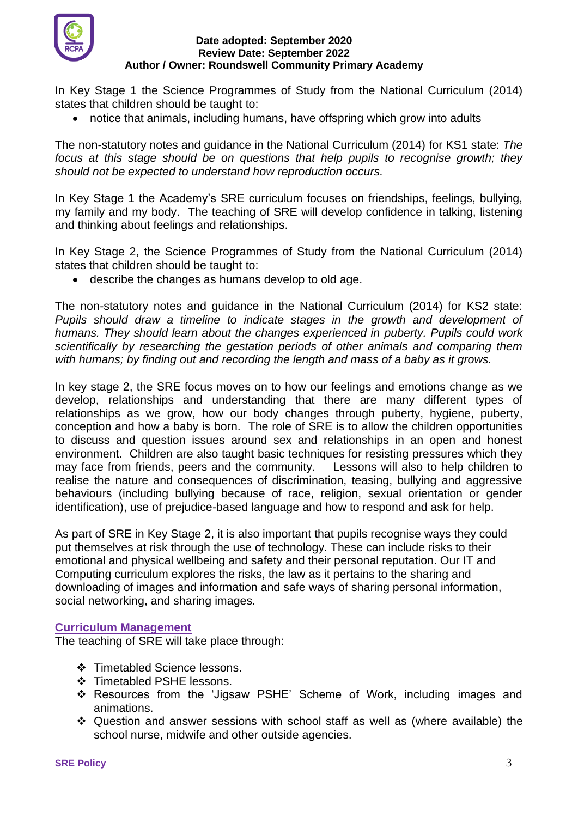

In Key Stage 1 the Science Programmes of Study from the National Curriculum (2014) states that children should be taught to:

• notice that animals, including humans, have offspring which grow into adults

The non-statutory notes and guidance in the National Curriculum (2014) for KS1 state: *The focus at this stage should be on questions that help pupils to recognise growth; they should not be expected to understand how reproduction occurs.*

In Key Stage 1 the Academy's SRE curriculum focuses on friendships, feelings, bullying, my family and my body. The teaching of SRE will develop confidence in talking, listening and thinking about feelings and relationships.

In Key Stage 2, the Science Programmes of Study from the National Curriculum (2014) states that children should be taught to:

• describe the changes as humans develop to old age.

The non-statutory notes and guidance in the National Curriculum (2014) for KS2 state: Pupils should draw a timeline to indicate stages in the growth and development of *humans. They should learn about the changes experienced in puberty. Pupils could work scientifically by researching the gestation periods of other animals and comparing them with humans; by finding out and recording the length and mass of a baby as it grows.*

In key stage 2, the SRE focus moves on to how our feelings and emotions change as we develop, relationships and understanding that there are many different types of relationships as we grow, how our body changes through puberty, hygiene, puberty, conception and how a baby is born. The role of SRE is to allow the children opportunities to discuss and question issues around sex and relationships in an open and honest environment. Children are also taught basic techniques for resisting pressures which they may face from friends, peers and the community. Lessons will also to help children to realise the nature and consequences of discrimination, teasing, bullying and aggressive behaviours (including bullying because of race, religion, sexual orientation or gender identification), use of prejudice-based language and how to respond and ask for help.

As part of SRE in Key Stage 2, it is also important that pupils recognise ways they could put themselves at risk through the use of technology. These can include risks to their emotional and physical wellbeing and safety and their personal reputation. Our IT and Computing curriculum explores the risks, the law as it pertains to the sharing and downloading of images and information and safe ways of sharing personal information, social networking, and sharing images.

## **Curriculum Management**

The teaching of SRE will take place through:

- ❖ Timetabled Science lessons.
- ❖ Timetabled PSHE lessons.
- ❖ Resources from the 'Jigsaw PSHE' Scheme of Work, including images and animations.
- ❖ Question and answer sessions with school staff as well as (where available) the school nurse, midwife and other outside agencies.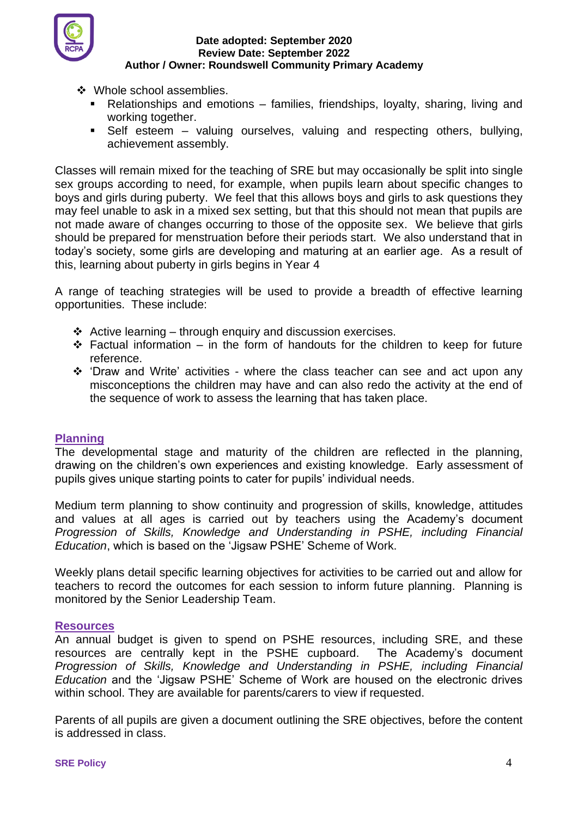

- ❖ Whole school assemblies.
	- Relationships and emotions families, friendships, loyalty, sharing, living and working together.
	- Self esteem valuing ourselves, valuing and respecting others, bullying, achievement assembly.

Classes will remain mixed for the teaching of SRE but may occasionally be split into single sex groups according to need, for example, when pupils learn about specific changes to boys and girls during puberty. We feel that this allows boys and girls to ask questions they may feel unable to ask in a mixed sex setting, but that this should not mean that pupils are not made aware of changes occurring to those of the opposite sex. We believe that girls should be prepared for menstruation before their periods start. We also understand that in today's society, some girls are developing and maturing at an earlier age. As a result of this, learning about puberty in girls begins in Year 4

A range of teaching strategies will be used to provide a breadth of effective learning opportunities. These include:

- $\triangleleft$  Active learning through enquiry and discussion exercises.
- $\div$  Factual information in the form of handouts for the children to keep for future reference.
- ❖ 'Draw and Write' activities where the class teacher can see and act upon any misconceptions the children may have and can also redo the activity at the end of the sequence of work to assess the learning that has taken place.

## **Planning**

The developmental stage and maturity of the children are reflected in the planning, drawing on the children's own experiences and existing knowledge. Early assessment of pupils gives unique starting points to cater for pupils' individual needs.

Medium term planning to show continuity and progression of skills, knowledge, attitudes and values at all ages is carried out by teachers using the Academy's document *Progression of Skills, Knowledge and Understanding in PSHE, including Financial Education*, which is based on the 'Jigsaw PSHE' Scheme of Work.

Weekly plans detail specific learning objectives for activities to be carried out and allow for teachers to record the outcomes for each session to inform future planning. Planning is monitored by the Senior Leadership Team.

#### **Resources**

An annual budget is given to spend on PSHE resources, including SRE, and these resources are centrally kept in the PSHE cupboard. The Academy's document *Progression of Skills, Knowledge and Understanding in PSHE, including Financial Education* and the 'Jigsaw PSHE' Scheme of Work are housed on the electronic drives within school. They are available for parents/carers to view if requested.

Parents of all pupils are given a document outlining the SRE objectives, before the content is addressed in class.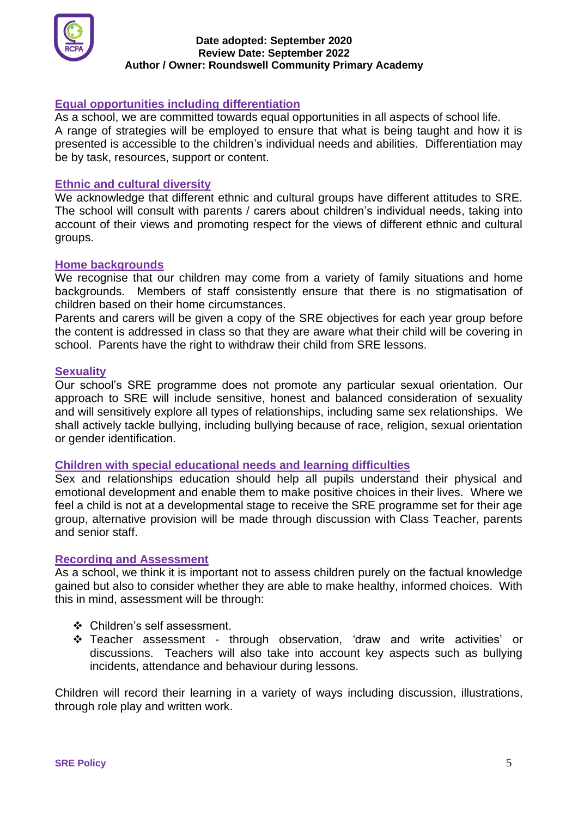

## **Equal opportunities including differentiation**

As a school, we are committed towards equal opportunities in all aspects of school life. A range of strategies will be employed to ensure that what is being taught and how it is presented is accessible to the children's individual needs and abilities. Differentiation may be by task, resources, support or content.

## **Ethnic and cultural diversity**

We acknowledge that different ethnic and cultural groups have different attitudes to SRE. The school will consult with parents / carers about children's individual needs, taking into account of their views and promoting respect for the views of different ethnic and cultural groups.

#### **Home backgrounds**

We recognise that our children may come from a variety of family situations and home backgrounds. Members of staff consistently ensure that there is no stigmatisation of children based on their home circumstances.

Parents and carers will be given a copy of the SRE objectives for each year group before the content is addressed in class so that they are aware what their child will be covering in school. Parents have the right to withdraw their child from SRE lessons.

#### **Sexuality**

Our school's SRE programme does not promote any particular sexual orientation. Our approach to SRE will include sensitive, honest and balanced consideration of sexuality and will sensitively explore all types of relationships, including same sex relationships. We shall actively tackle bullying, including bullying because of race, religion, sexual orientation or gender identification.

#### **Children with special educational needs and learning difficulties**

Sex and relationships education should help all pupils understand their physical and emotional development and enable them to make positive choices in their lives. Where we feel a child is not at a developmental stage to receive the SRE programme set for their age group, alternative provision will be made through discussion with Class Teacher, parents and senior staff.

#### **Recording and Assessment**

As a school, we think it is important not to assess children purely on the factual knowledge gained but also to consider whether they are able to make healthy, informed choices. With this in mind, assessment will be through:

- ❖ Children's self assessment.
- ❖ Teacher assessment through observation, 'draw and write activities' or discussions. Teachers will also take into account key aspects such as bullying incidents, attendance and behaviour during lessons.

Children will record their learning in a variety of ways including discussion, illustrations, through role play and written work.